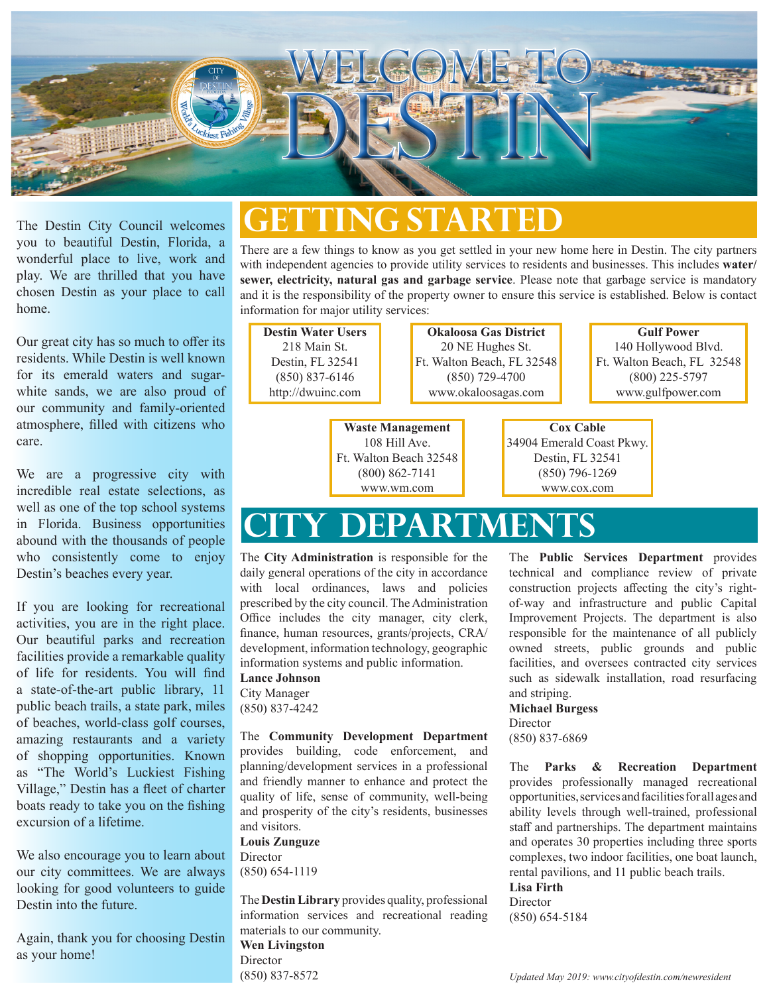

The Destin City Council welcomes you to beautiful Destin, Florida, a wonderful place to live, work and play. We are thrilled that you have chosen Destin as your place to call home.

Our great city has so much to offer its residents. While Destin is well known for its emerald waters and sugarwhite sands, we are also proud of our community and family-oriented atmosphere, filled with citizens who care.

We are a progressive city with incredible real estate selections, as well as one of the top school systems in Florida. Business opportunities abound with the thousands of people who consistently come to enjoy Destin's beaches every year.

If you are looking for recreational activities, you are in the right place. Our beautiful parks and recreation facilities provide a remarkable quality of life for residents. You will find a state-of-the-art public library, 11 public beach trails, a state park, miles of beaches, world-class golf courses, amazing restaurants and a variety of shopping opportunities. Known as "The World's Luckiest Fishing Village," Destin has a fleet of charter boats ready to take you on the fishing excursion of a lifetime.

We also encourage you to learn about our city committees. We are always looking for good volunteers to guide Destin into the future.

Again, thank you for choosing Destin as your home!

#### **Getting Started**

There are a few things to know as you get settled in your new home here in Destin. The city partners with independent agencies to provide utility services to residents and businesses. This includes **water/ sewer, electricity, natural gas and garbage service**. Please note that garbage service is mandatory and it is the responsibility of the property owner to ensure this service is established. Below is contact information for major utility services:

> **Okaloosa Gas District** 20 NE Hughes St. Ft. Walton Beach, FL 32548

**Destin Water Users** 218 Main St. Destin, FL 32541 (850) 837-6146 http://dwuinc.com

**Waste Management** (850) 729-4700 www.okaloosagas.com

108 Hill Ave. Ft. Walton Beach 32548 (800) 862-7141 www.wm.com

**Gulf Power** 140 Hollywood Blvd. Ft. Walton Beach, FL 32548 (800) 225-5797 www.gulfpower.com

#### **Cox Cable**

34904 Emerald Coast Pkwy. Destin, FL 32541 (850) 796-1269 www.cox.com

## **City dEPARTMENTS**

The **City Administration** is responsible for the daily general operations of the city in accordance with local ordinances, laws and policies prescribed by the city council. The Administration Office includes the city manager, city clerk, finance, human resources, grants/projects, CRA/ development, information technology, geographic information systems and public information.

**Lance Johnson** City Manager (850) 837-4242

The **Community Development Department**  provides building, code enforcement, and planning/development services in a professional and friendly manner to enhance and protect the quality of life, sense of community, well-being and prosperity of the city's residents, businesses and visitors.

#### **Louis Zunguze**

Director (850) 654-1119

The **Destin Library** provides quality, professional information services and recreational reading materials to our community.

**Wen Livingston Director** (850) 837-8572

The **Public Services Department** provides technical and compliance review of private construction projects affecting the city's rightof-way and infrastructure and public Capital Improvement Projects. The department is also responsible for the maintenance of all publicly owned streets, public grounds and public facilities, and oversees contracted city services such as sidewalk installation, road resurfacing and striping.

#### **Michael Burgess**

Director (850) 837-6869

The **Parks & Recreation Department** provides professionally managed recreational opportunities, services and facilities for all ages and ability levels through well-trained, professional staff and partnerships. The department maintains and operates 30 properties including three sports complexes, two indoor facilities, one boat launch, rental pavilions, and 11 public beach trails. **Lisa Firth**

Director (850) 654-5184